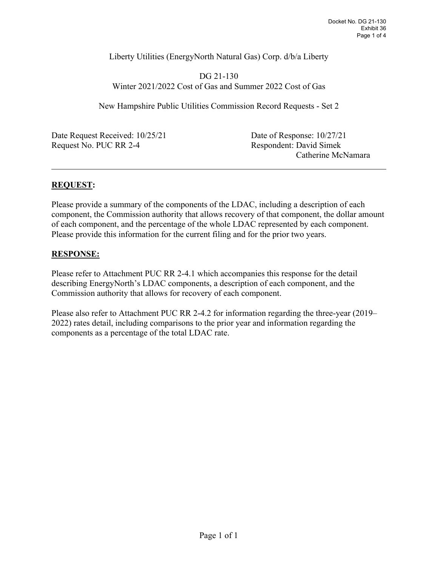Liberty Utilities (EnergyNorth Natural Gas) Corp. d/b/a Liberty

DG 21-130 Winter 2021/2022 Cost of Gas and Summer 2022 Cost of Gas

New Hampshire Public Utilities Commission Record Requests - Set 2

Date Request Received: 10/25/21 Date of Response: 10/27/21 Request No. PUC RR 2-4 Respondent: David Simek

Catherine McNamara

## **REQUEST:**

Please provide a summary of the components of the LDAC, including a description of each component, the Commission authority that allows recovery of that component, the dollar amount of each component, and the percentage of the whole LDAC represented by each component. Please provide this information for the current filing and for the prior two years.

## **RESPONSE:**

Please refer to Attachment PUC RR 2-4.1 which accompanies this response for the detail describing EnergyNorth's LDAC components, a description of each component, and the Commission authority that allows for recovery of each component.

Please also refer to Attachment PUC RR 2-4.2 for information regarding the three-year (2019– 2022) rates detail, including comparisons to the prior year and information regarding the components as a percentage of the total LDAC rate.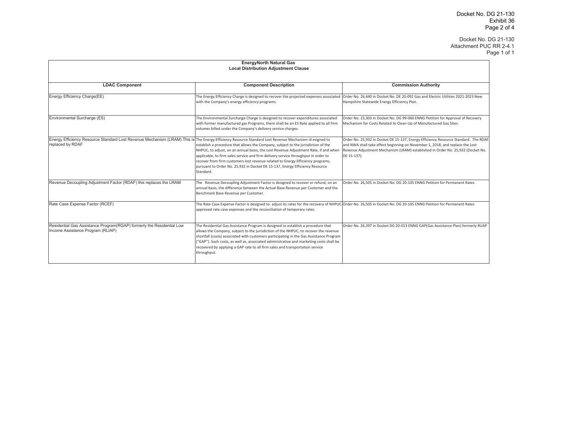Docket No. DG 21-130 Attachment PUC RR 2-4.1 Page 1 of 1

| <b>EnergyNorth Natural Gas</b><br><b>Local Distribution Adjustment Clause</b>                                                                                              |                                                                                                                                                                                                                                                                                                                                                                                                                                                                |                                                                                                                                                                                                                                                                        |  |  |
|----------------------------------------------------------------------------------------------------------------------------------------------------------------------------|----------------------------------------------------------------------------------------------------------------------------------------------------------------------------------------------------------------------------------------------------------------------------------------------------------------------------------------------------------------------------------------------------------------------------------------------------------------|------------------------------------------------------------------------------------------------------------------------------------------------------------------------------------------------------------------------------------------------------------------------|--|--|
| <b>LDAC Component</b>                                                                                                                                                      | <b>Component Description</b>                                                                                                                                                                                                                                                                                                                                                                                                                                   | <b>Commission Authority</b>                                                                                                                                                                                                                                            |  |  |
| Energy Efficiency Charge(EE)                                                                                                                                               | The Energy Efficiency Charge is designed to recover the projected expenses associated<br>with the Company's energy efficiency programs.                                                                                                                                                                                                                                                                                                                        | Order No. 26,440 in Docket No. DE 20-092 Gas and Electric Utilities 2021-2023 New<br>Hampshire Statewide Energy Efficiency Plan.                                                                                                                                       |  |  |
| Environmental Surcharge (ES)                                                                                                                                               | The Environmental Surcharge Charge is designed to recover expenditures associated<br>with former manufactured gas Programs, there shall be an ES Rate applied to all firm<br>volumes billed under the Company's delivery service charges.                                                                                                                                                                                                                      | Order No. 23,303 in Docket No. DG 99-060 ENNG Petition for Approval of Recovery<br>Mechanism for Costs Related to Clean-Up of Manufactured Gas Sites.                                                                                                                  |  |  |
| Energy Efficiency Resource Standard Lost Revenue Mechanism (LRAM) This is The Energy Efficiency Resource Standard Lost Revenue Mechanism id esigned to<br>replaced by RDAF | establish a procedure that allows the Company, subject to the jurisdiction of the<br>NHPUC, to adjust, on an annual basis, the Lost Revenue Adjustment Rate, if and when<br>applicable, to firm sales service and firm delivery service throughput in order to<br>recover from firm customers lost revenue related to Energy Efficiency programs,<br>pursuant to Order No. 25,932 in Docket DE 15-137, Energy Efficiency Resource<br>Standard.                 | Order No. 25,932 in Docket DE 15-137, Energy Efficiency Resource Standard. The RDAF<br>and NWA shall take effect beginning on November 1, 2018, and replace the Lost<br>Revenue Adjustment Mechanism (LRAM) established in Order No. 25,932 (Docket No.<br>DE 15-137). |  |  |
| Revenue Decoupling Adjustment Factor (RDAF) this replaces the LRAM                                                                                                         | The Revenue Decoupling Adjustment Factor is designed to recover or refund, on an<br>annual basis, the difference between the Actual Base Revenue per Customer and the<br>Benchmark Base Revenue per Customer.                                                                                                                                                                                                                                                  | Order No. 26,505 in Docket No. DG 20-105 ENNG Petition for Permanent Rates                                                                                                                                                                                             |  |  |
| Rate Case Expense Factor (RCEF)                                                                                                                                            | The Rate Case Expense Factor is designed to adjust its rates for the recovery of NHPUC Order No. 26,505 in Docket No. DG 20-105 ENNG Petition for Permanent Rates<br>approved rate case expenses and the reconciliation of temporary rates.                                                                                                                                                                                                                    |                                                                                                                                                                                                                                                                        |  |  |
| Residential Gas Assistance Program(RGAP) formerly the Residential Low<br>Income Assistance Program (RLIAP)                                                                 | The Residential Gas Assistance Program is designed to establish a procedure that<br>allows the Company, subject to the jurisdiction of the NHPUC, to recover the revenue<br>shortfall (costs) associated with customers participating in the Gas Assistance Program<br>("GAP"). Such costs, as well as, associated administrative and marketing costs shall be<br>recovered by applying a GAP rate to all firm sales and transportation service<br>throughput. | Order No. 26,397 in Docket DG 20-013 ENNG GAP(Gas Assistance Plan) formerly RLIAP                                                                                                                                                                                      |  |  |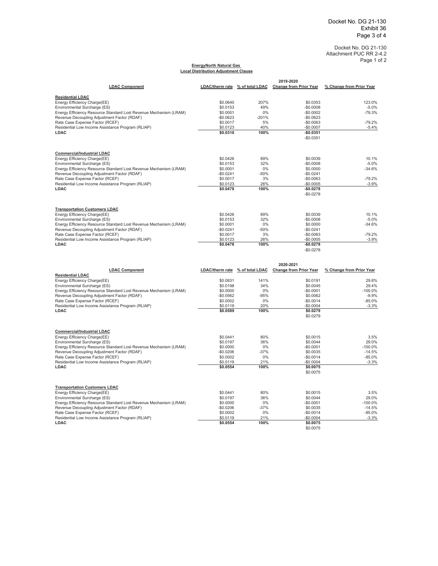Docket No. DG 21-130 Attachment PUC RR 2-4.2 Page 1 of 2

## **EnergyNorth Natural Gas Local Distribution Adjustment Clause**

|                                                                      |                        |                 | 2019-2020                     |                          |
|----------------------------------------------------------------------|------------------------|-----------------|-------------------------------|--------------------------|
| <b>LDAC Component</b>                                                | <b>LDAC/therm rate</b> | % of total LDAC | <b>Change from Prior Year</b> | % Change from Prior Year |
| <b>Residential LDAC</b>                                              |                        |                 |                               |                          |
| Energy Efficiency Charge(EE)                                         | \$0.0640               | 207%            | \$0.0353                      | 123.0%                   |
| Environmental Surcharge (ES)                                         | \$0.0153               | 49%             | $-$0.0008$                    | $-5.0%$                  |
| Energy Efficiency Resource Standard Lost Revenue Mechanism (LRAM)    | \$0,0001               | $0\%$           | $-$0.0002$                    | $-79.3%$                 |
| Revenue Decoupling Adjustment Factor (RDAF)                          | $-$0.0623$             | $-201%$         | $-$0.0623$                    |                          |
| Rate Case Expense Factor (RCEF)                                      | \$0,0017               | 5%              | $-$0.0063$                    | $-79.2%$                 |
| Residential Low Income Assistance Program (RLIAP)                    | \$0.0123               | 40%             | $-$0.0007$                    | $-5.4%$                  |
| LDAC                                                                 | \$0.0310               | 100%            | $-$0.0351$                    |                          |
|                                                                      |                        |                 | $-$0.0351$                    |                          |
| <b>Commercial/Industrial LDAC</b>                                    |                        |                 |                               |                          |
| Energy Efficiency Charge(EE)                                         | \$0.0426               | 89%             | \$0.0039                      | 10.1%                    |
| Environmental Surcharge (ES)                                         | \$0.0153               | 32%             | $-$0.0008$                    | $-5.0%$                  |
| Energy Efficiency Resource Standard Lost Revenue Mechanism (LRAM)    | \$0,0001               | $0\%$           | \$0,0000                      | $-34.6%$                 |
| Revenue Decoupling Adjustment Factor (RDAF)                          | $-$0.0241$             | $-50%$          | $-$0.0241$                    |                          |
| Rate Case Expense Factor (RCEF)                                      | \$0,0017               | 3%              | $-$0.0063$                    | $-79.2%$                 |
| Residential Low Income Assistance Program (RLIAP)                    | \$0.0123               | 26%             | $-$0.0005$                    | $-3.9%$                  |
| LDAC                                                                 | \$0.0478               | 100%            | $-$0.0278$                    |                          |
|                                                                      |                        |                 | $-$0.0278$                    |                          |
|                                                                      |                        |                 |                               |                          |
| <b>Transportation Customers LDAC</b><br>Energy Efficiency Charge(EE) | \$0.0426               | 89%             | \$0.0039                      | 10.1%                    |
| Environmental Surcharge (ES)                                         | \$0.0153               | 32%             | $-$0.0008$                    | $-5.0%$                  |
| Energy Efficiency Resource Standard Lost Revenue Mechanism (LRAM)    | \$0,0001               | 0%              | \$0,0000                      | $-34.6%$                 |
| Revenue Decoupling Adjustment Factor (RDAF)                          | $-$0.0241$             | $-50%$          | $-$0.0241$                    |                          |
| Rate Case Expense Factor (RCEF)                                      | \$0,0017               | 3%              | $-$0.0063$                    | $-79.2%$                 |
| Residential Low Income Assistance Program (RLIAP)                    | \$0.0123               | 26%             | $-$0.0005$                    | $-3.9%$                  |
| LDAC                                                                 | \$0.0478               | 100%            | $-$0.0278$                    |                          |
|                                                                      |                        |                 | $-$0.0278$                    |                          |
|                                                                      |                        |                 |                               |                          |

|                                                                   |                        |                 | 2020-2021                     |                          |
|-------------------------------------------------------------------|------------------------|-----------------|-------------------------------|--------------------------|
| <b>LDAC Component</b>                                             | <b>LDAC/therm rate</b> | % of total LDAC | <b>Change from Prior Year</b> | % Change from Prior Year |
| <b>Residential LDAC</b>                                           |                        |                 |                               |                          |
| Energy Efficiency Charge(EE)                                      | \$0.0831               | 141%            | \$0.0191                      | 29.8%                    |
| Environmental Surcharge (ES)                                      | \$0.0198               | 34%             | \$0.0045                      | 29.4%                    |
| Energy Efficiency Resource Standard Lost Revenue Mechanism (LRAM) | \$0,0000               | $0\%$           | $-$0.0001$                    | $-100.0%$                |
| Revenue Decoupling Adjustment Factor (RDAF)                       | $-$0.0562$             | $-95%$          | \$0.0062                      | $-9.9%$                  |
| Rate Case Expense Factor (RCEF)                                   | \$0,0002               | $0\%$           | $-$0.0014$                    | $-85.0%$                 |
| Residential Low Income Assistance Program (RLIAP)                 | \$0.0119               | 20%             | $-$0.0004$                    | $-3.3%$                  |
| LDAC                                                              | \$0.0589               | 100%            | \$0.0279                      |                          |
|                                                                   |                        |                 | \$0.0279                      |                          |
| <b>Commercial/Industrial LDAC</b>                                 |                        |                 |                               |                          |
| Energy Efficiency Charge(EE)                                      | \$0.0441               | 80%             | \$0.0015                      | 3.5%                     |
| Environmental Surcharge (ES)                                      | \$0.0197               | 36%             | \$0.0044                      | 29.0%                    |
| Energy Efficiency Resource Standard Lost Revenue Mechanism (LRAM) | \$0,0000               | $0\%$           | $-$0.0001$                    | $-100.0%$                |
| Revenue Decoupling Adjustment Factor (RDAF)                       | $-$0.0206$             | $-37%$          | \$0.0035                      | $-14.5%$                 |
| Rate Case Expense Factor (RCEF)                                   | \$0,0002               | 0%              | $-$0.0014$                    | $-85.0%$                 |
| Residential Low Income Assistance Program (RLIAP)                 | \$0.0119               | 21%             | $-$0.0004$                    | $-3.3%$                  |
| LDAC                                                              | \$0.0554               | 100%            | \$0.0075                      |                          |
|                                                                   |                        |                 | \$0.0075                      |                          |
| <b>Transportation Customers LDAC</b>                              |                        |                 |                               |                          |
| Energy Efficiency Charge(EE)                                      | \$0.0441               | 80%             | \$0.0015                      | 3.5%                     |
| Environmental Surcharge (ES)                                      | \$0.0197               | 36%             | \$0.0044                      | 29.0%                    |
| Energy Efficiency Resource Standard Lost Revenue Mechanism (LRAM) | \$0,0000               | $0\%$           | $-$0.0001$                    | $-100.0%$                |
| Revenue Decoupling Adjustment Factor (RDAF)                       | $-$0.0206$             | $-37%$          | \$0.0035                      | $-14.5%$                 |
| Rate Case Expense Factor (RCEF)                                   | \$0,0002               | $0\%$           | $-$0.0014$                    | $-85.0%$                 |
| Residential Low Income Assistance Program (RLIAP)                 | \$0.0119               | 21%             | $-$0.0004$                    | $-3.3%$                  |
| LDAC                                                              | \$0.0554               | 100%            | \$0.0075                      |                          |
|                                                                   |                        |                 | \$0.0075                      |                          |